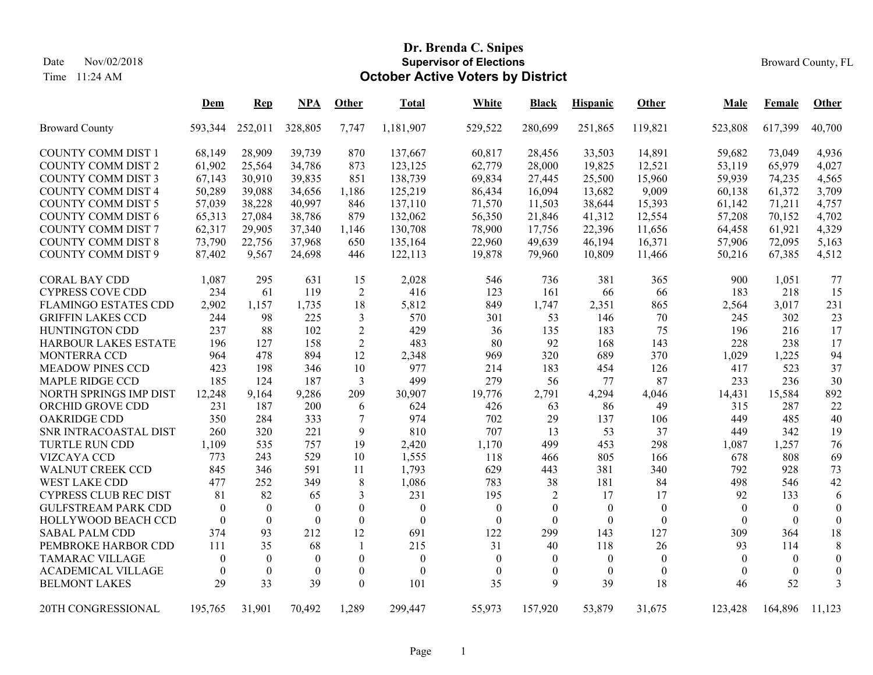Time 11:24 AM

# **Dr. Brenda C. Snipes Supervisor of ElectionsOctober Active Voters by District**

|                              | <u>Dem</u> | $\mathbf{Rep}$ | NPA      | Other            | Total            | White        | <b>Black</b>   | <b>Hispanic</b>  | Other    | Male     | Female           | <b>Other</b>     |
|------------------------------|------------|----------------|----------|------------------|------------------|--------------|----------------|------------------|----------|----------|------------------|------------------|
| <b>Broward County</b>        | 593,344    | 252,011        | 328,805  | 7,747            | 1,181,907        | 529,522      | 280,699        | 251,865          | 119,821  | 523,808  | 617,399          | 40,700           |
| <b>COUNTY COMM DIST 1</b>    | 68,149     | 28,909         | 39,739   | 870              | 137,667          | 60,817       | 28,456         | 33,503           | 14,891   | 59,682   | 73,049           | 4,936            |
| <b>COUNTY COMM DIST 2</b>    | 61,902     | 25,564         | 34,786   | 873              | 123,125          | 62,779       | 28,000         | 19,825           | 12,521   | 53,119   | 65,979           | 4,027            |
| <b>COUNTY COMM DIST 3</b>    | 67,143     | 30,910         | 39,835   | 851              | 138,739          | 69,834       | 27,445         | 25,500           | 15,960   | 59,939   | 74,235           | 4,565            |
| <b>COUNTY COMM DIST 4</b>    | 50,289     | 39,088         | 34,656   | 1,186            | 125,219          | 86,434       | 16,094         | 13,682           | 9,009    | 60,138   | 61,372           | 3,709            |
| <b>COUNTY COMM DIST 5</b>    | 57,039     | 38,228         | 40,997   | 846              | 137,110          | 71,570       | 11,503         | 38,644           | 15,393   | 61,142   | 71,211           | 4,757            |
| <b>COUNTY COMM DIST 6</b>    | 65,313     | 27,084         | 38,786   | 879              | 132,062          | 56,350       | 21,846         | 41,312           | 12,554   | 57,208   | 70,152           | 4,702            |
| <b>COUNTY COMM DIST 7</b>    | 62,317     | 29,905         | 37,340   | 1,146            | 130,708          | 78,900       | 17,756         | 22,396           | 11,656   | 64,458   | 61,921           | 4,329            |
| <b>COUNTY COMM DIST 8</b>    | 73,790     | 22,756         | 37,968   | 650              | 135,164          | 22,960       | 49,639         | 46,194           | 16,371   | 57,906   | 72,095           | 5,163            |
| <b>COUNTY COMM DIST 9</b>    | 87,402     | 9,567          | 24,698   | 446              | 122,113          | 19,878       | 79,960         | 10,809           | 11,466   | 50,216   | 67,385           | 4,512            |
| <b>CORAL BAY CDD</b>         | 1,087      | 295            | 631      | 15               | 2,028            | 546          | 736            | 381              | 365      | 900      | 1,051            | 77               |
| <b>CYPRESS COVE CDD</b>      | 234        | 61             | 119      | $\overline{2}$   | 416              | 123          | 161            | 66               | 66       | 183      | 218              | 15               |
| <b>FLAMINGO ESTATES CDD</b>  | 2,902      | 1,157          | 1,735    | 18               | 5,812            | 849          | 1,747          | 2,351            | 865      | 2,564    | 3,017            | 231              |
| <b>GRIFFIN LAKES CCD</b>     | 244        | 98             | 225      | 3                | 570              | 301          | 53             | 146              | 70       | 245      | 302              | 23               |
| HUNTINGTON CDD               | 237        | 88             | 102      | $\overline{2}$   | 429              | 36           | 135            | 183              | 75       | 196      | 216              | 17               |
| HARBOUR LAKES ESTATE         | 196        | 127            | 158      | $\overline{2}$   | 483              | 80           | 92             | 168              | 143      | 228      | 238              | 17               |
| <b>MONTERRA CCD</b>          | 964        | 478            | 894      | 12               | 2,348            | 969          | 320            | 689              | 370      | 1,029    | 1,225            | 94               |
| <b>MEADOW PINES CCD</b>      | 423        | 198            | 346      | 10               | 977              | 214          | 183            | 454              | 126      | 417      | 523              | 37               |
| <b>MAPLE RIDGE CCD</b>       | 185        | 124            | 187      | 3                | 499              | 279          | 56             | 77               | 87       | 233      | 236              | 30               |
| NORTH SPRINGS IMP DIST       | 12,248     | 9,164          | 9,286    | 209              | 30,907           | 19,776       | 2,791          | 4,294            | 4,046    | 14,431   | 15,584           | 892              |
| ORCHID GROVE CDD             | 231        | 187            | 200      | 6                | 624              | 426          | 63             | 86               | 49       | 315      | 287              | 22               |
| <b>OAKRIDGE CDD</b>          | 350        | 284            | 333      | $\tau$           | 974              | 702          | 29             | 137              | 106      | 449      | 485              | 40               |
| SNR INTRACOASTAL DIST        | 260        | 320            | 221      | 9                | 810              | 707          | 13             | 53               | 37       | 449      | 342              | 19               |
| <b>TURTLE RUN CDD</b>        | 1,109      | 535            | 757      | 19               | 2,420            | 1,170        | 499            | 453              | 298      | 1,087    | 1,257            | 76               |
| <b>VIZCAYA CCD</b>           | 773        | 243            | 529      | 10               | 1,555            | 118          | 466            | 805              | 166      | 678      | 808              | 69               |
| <b>WALNUT CREEK CCD</b>      | 845        | 346            | 591      | 11               | 1,793            | 629          | 443            | 381              | 340      | 792      | 928              | 73               |
| <b>WEST LAKE CDD</b>         | 477        | 252            | 349      | 8                | 1,086            | 783          | 38             | 181              | 84       | 498      | 546              | 42               |
| <b>CYPRESS CLUB REC DIST</b> | 81         | 82             | 65       | 3                | 231              | 195          | $\overline{2}$ | 17               | 17       | 92       | 133              | 6                |
| <b>GULFSTREAM PARK CDD</b>   | $\theta$   | $\theta$       | $\theta$ | $\theta$         | $\theta$         | $\theta$     | $\theta$       | $\overline{0}$   | $\theta$ | $\theta$ | $\theta$         | $\boldsymbol{0}$ |
| HOLLYWOOD BEACH CCD          | $\theta$   | $\Omega$       | $\Omega$ | $\theta$         | $\overline{0}$   | $\theta$     | $\theta$       | $\Omega$         | $\Omega$ | $\Omega$ | $\theta$         | $\theta$         |
| <b>SABAL PALM CDD</b>        | 374        | 93             | 212      | 12               | 691              | 122          | 299            | 143              | 127      | 309      | 364              | 18               |
| PEMBROKE HARBOR CDD          | 111        | 35             | 68       | $\overline{1}$   | 215              | 31           | 40             | 118              | 26       | 93       | 114              | 8                |
| <b>TAMARAC VILLAGE</b>       | $\theta$   | $\theta$       | $\theta$ | $\mathbf{0}$     | $\boldsymbol{0}$ | $\theta$     | $\theta$       | $\mathbf{0}$     | $\theta$ | $\theta$ | $\mathbf{0}$     | $\mathbf{0}$     |
| <b>ACADEMICAL VILLAGE</b>    | $\theta$   | $\theta$       | $\theta$ | $\boldsymbol{0}$ | $\theta$         | $\mathbf{0}$ | $\theta$       | $\boldsymbol{0}$ | $\theta$ | $\theta$ | $\boldsymbol{0}$ | $\boldsymbol{0}$ |
| <b>BELMONT LAKES</b>         | 29         | 33             | 39       | $\Omega$         | 101              | 35           | 9              | 39               | 18       | 46       | 52               | 3                |
| 20TH CONGRESSIONAL           | 195,765    | 31,901         | 70,492   | 1,289            | 299,447          | 55,973       | 157,920        | 53,879           | 31,675   | 123,428  | 164,896          | 11.123           |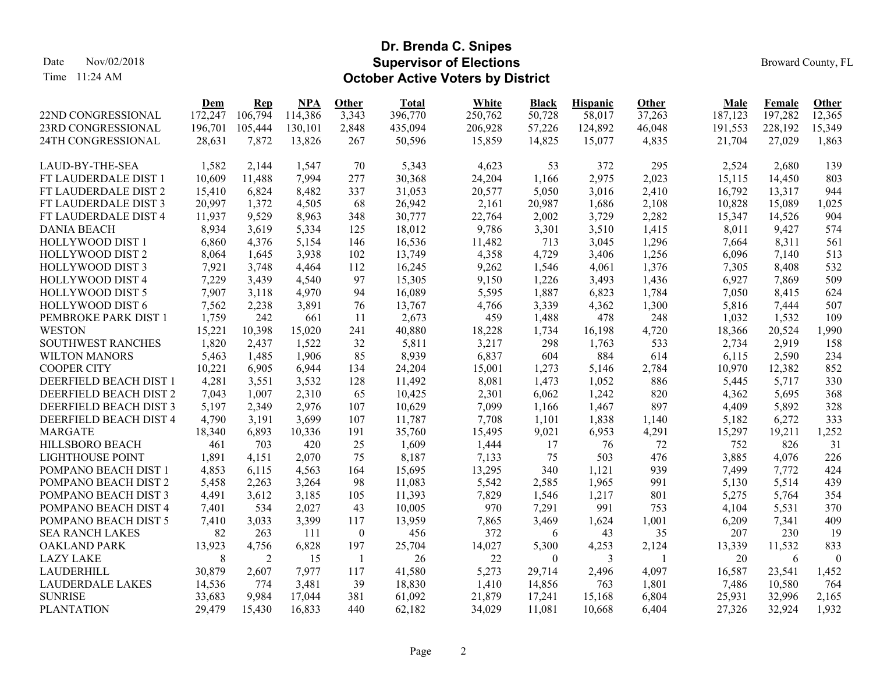Time 11:24 AM

#### **Dr. Brenda C. Snipes Supervisor of ElectionsOctober Active Voters by District**

|                          | <u>Dem</u> | Rep     | <b>NPA</b> | Other            | <b>Total</b> | <b>White</b> | Black    | <b>Hispanic</b> | Other        | Male    | Female  | Other    |
|--------------------------|------------|---------|------------|------------------|--------------|--------------|----------|-----------------|--------------|---------|---------|----------|
| 22ND CONGRESSIONAL       | 172,247    | 106,794 | 114,386    | 3,343            | 396,770      | 250,762      | 50,728   | 58,017          | 37,263       | 187,123 | 197,282 | 12,365   |
| 23RD CONGRESSIONAL       | 196,701    | 105,444 | 130,101    | 2,848            | 435,094      | 206,928      | 57,226   | 124,892         | 46,048       | 191,553 | 228,192 | 15,349   |
| 24TH CONGRESSIONAL       | 28,631     | 7,872   | 13,826     | 267              | 50,596       | 15,859       | 14,825   | 15,077          | 4,835        | 21,704  | 27,029  | 1,863    |
| LAUD-BY-THE-SEA          | 1,582      | 2,144   | 1,547      | 70               | 5,343        | 4,623        | 53       | 372             | 295          | 2,524   | 2,680   | 139      |
| FT LAUDERDALE DIST 1     | 10,609     | 11,488  | 7,994      | 277              | 30,368       | 24,204       | 1,166    | 2,975           | 2,023        | 15,115  | 14,450  | 803      |
| FT LAUDERDALE DIST 2     | 15,410     | 6,824   | 8,482      | 337              | 31,053       | 20,577       | 5,050    | 3,016           | 2,410        | 16,792  | 13,317  | 944      |
| FT LAUDERDALE DIST 3     | 20,997     | 1,372   | 4,505      | 68               | 26,942       | 2,161        | 20,987   | 1,686           | 2,108        | 10,828  | 15,089  | 1,025    |
| FT LAUDERDALE DIST 4     | 11,937     | 9,529   | 8,963      | 348              | 30,777       | 22,764       | 2,002    | 3,729           | 2,282        | 15,347  | 14,526  | 904      |
| <b>DANIA BEACH</b>       | 8,934      | 3,619   | 5,334      | 125              | 18,012       | 9,786        | 3,301    | 3,510           | 1,415        | 8,011   | 9,427   | 574      |
| HOLLYWOOD DIST 1         | 6,860      | 4,376   | 5,154      | 146              | 16,536       | 11,482       | 713      | 3,045           | 1,296        | 7,664   | 8,311   | 561      |
| HOLLYWOOD DIST 2         | 8,064      | 1,645   | 3,938      | 102              | 13,749       | 4,358        | 4,729    | 3,406           | 1,256        | 6,096   | 7,140   | 513      |
| HOLLYWOOD DIST 3         | 7,921      | 3,748   | 4,464      | 112              | 16,245       | 9,262        | 1,546    | 4,061           | 1,376        | 7,305   | 8,408   | 532      |
| HOLLYWOOD DIST 4         | 7,229      | 3,439   | 4,540      | 97               | 15,305       | 9,150        | 1,226    | 3,493           | 1,436        | 6,927   | 7,869   | 509      |
| HOLLYWOOD DIST 5         | 7,907      | 3,118   | 4,970      | 94               | 16,089       | 5,595        | 1,887    | 6,823           | 1,784        | 7,050   | 8,415   | 624      |
| HOLLYWOOD DIST 6         | 7,562      | 2,238   | 3,891      | 76               | 13,767       | 4,766        | 3,339    | 4,362           | 1,300        | 5,816   | 7,444   | 507      |
| PEMBROKE PARK DIST 1     | 1,759      | 242     | 661        | 11               | 2,673        | 459          | 1,488    | 478             | 248          | 1,032   | 1,532   | 109      |
| <b>WESTON</b>            | 15,221     | 10,398  | 15,020     | 241              | 40,880       | 18,228       | 1,734    | 16,198          | 4,720        | 18,366  | 20,524  | 1,990    |
| <b>SOUTHWEST RANCHES</b> | 1,820      | 2,437   | 1,522      | 32               | 5,811        | 3,217        | 298      | 1,763           | 533          | 2,734   | 2,919   | 158      |
| <b>WILTON MANORS</b>     | 5,463      | 1,485   | 1,906      | 85               | 8,939        | 6,837        | 604      | 884             | 614          | 6,115   | 2,590   | 234      |
| <b>COOPER CITY</b>       | 10,221     | 6,905   | 6,944      | 134              | 24,204       | 15,001       | 1,273    | 5,146           | 2,784        | 10,970  | 12,382  | 852      |
| DEERFIELD BEACH DIST 1   | 4,281      | 3,551   | 3,532      | 128              | 11,492       | 8,081        | 1,473    | 1,052           | 886          | 5,445   | 5,717   | 330      |
| DEERFIELD BEACH DIST 2   | 7,043      | 1,007   | 2,310      | 65               | 10,425       | 2,301        | 6,062    | 1,242           | 820          | 4,362   | 5,695   | 368      |
| DEERFIELD BEACH DIST 3   | 5,197      | 2,349   | 2,976      | 107              | 10,629       | 7,099        | 1,166    | 1,467           | 897          | 4,409   | 5,892   | 328      |
| DEERFIELD BEACH DIST 4   | 4,790      | 3,191   | 3,699      | 107              | 11,787       | 7,708        | 1,101    | 1,838           | 1,140        | 5,182   | 6,272   | 333      |
| <b>MARGATE</b>           | 18,340     | 6,893   | 10,336     | 191              | 35,760       | 15,495       | 9,021    | 6,953           | 4,291        | 15,297  | 19,211  | 1,252    |
| HILLSBORO BEACH          | 461        | 703     | 420        | 25               | 1,609        | 1,444        | 17       | 76              | 72           | 752     | 826     | 31       |
| <b>LIGHTHOUSE POINT</b>  | 1,891      | 4,151   | 2,070      | 75               | 8,187        | 7,133        | 75       | 503             | 476          | 3,885   | 4,076   | 226      |
| POMPANO BEACH DIST 1     | 4,853      | 6,115   | 4,563      | 164              | 15,695       | 13,295       | 340      | 1,121           | 939          | 7,499   | 7,772   | 424      |
| POMPANO BEACH DIST 2     | 5,458      | 2,263   | 3,264      | 98               | 11,083       | 5,542        | 2,585    | 1,965           | 991          | 5,130   | 5,514   | 439      |
| POMPANO BEACH DIST 3     | 4,491      | 3,612   | 3,185      | 105              | 11,393       | 7,829        | 1,546    | 1,217           | 801          | 5,275   | 5,764   | 354      |
| POMPANO BEACH DIST 4     | 7,401      | 534     | 2,027      | 43               | 10,005       | 970          | 7,291    | 991             | 753          | 4,104   | 5,531   | 370      |
| POMPANO BEACH DIST 5     | 7,410      | 3,033   | 3,399      | 117              | 13,959       | 7,865        | 3,469    | 1,624           | 1,001        | 6,209   | 7,341   | 409      |
| <b>SEA RANCH LAKES</b>   | 82         | 263     | 111        | $\boldsymbol{0}$ | 456          | 372          | 6        | 43              | 35           | 207     | 230     | 19       |
| <b>OAKLAND PARK</b>      | 13,923     | 4,756   | 6,828      | 197              | 25,704       | 14,027       | 5,300    | 4,253           | 2,124        | 13,339  | 11,532  | 833      |
| <b>LAZY LAKE</b>         | 8          | 2       | 15         | $\overline{1}$   | 26           | 22           | $\theta$ | 3               | $\mathbf{1}$ | 20      | 6       | $\theta$ |
| <b>LAUDERHILL</b>        | 30,879     | 2,607   | 7,977      | 117              | 41,580       | 5,273        | 29,714   | 2,496           | 4,097        | 16,587  | 23,541  | 1,452    |
| <b>LAUDERDALE LAKES</b>  | 14,536     | 774     | 3,481      | 39               | 18,830       | 1,410        | 14,856   | 763             | 1,801        | 7,486   | 10,580  | 764      |
| <b>SUNRISE</b>           | 33,683     | 9,984   | 17,044     | 381              | 61,092       | 21,879       | 17,241   | 15,168          | 6,804        | 25,931  | 32,996  | 2,165    |
| <b>PLANTATION</b>        | 29.479     | 15,430  | 16,833     | 440              | 62,182       | 34.029       | 11.081   | 10.668          | 6,404        | 27,326  | 32,924  | 1,932    |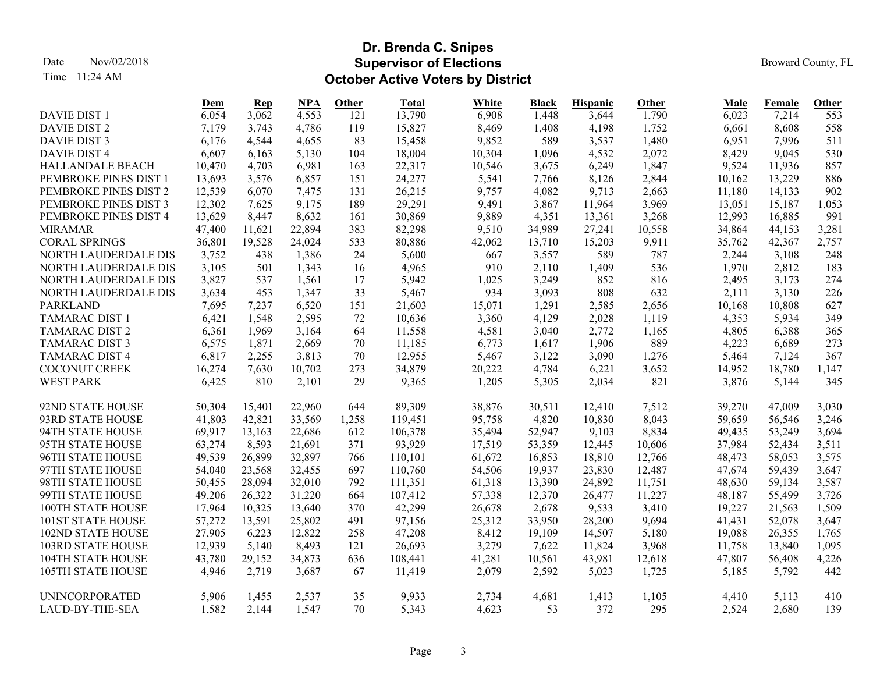Time 11:24 AM

## **Dr. Brenda C. Snipes Supervisor of ElectionsOctober Active Voters by District**

|                          | <u>Dem</u> | Rep    | NPA    | Other | <b>Total</b> | <b>White</b> | <b>Black</b> | <b>Hispanic</b> | <b>Other</b> | Male   | <b>Female</b> | <b>Other</b> |
|--------------------------|------------|--------|--------|-------|--------------|--------------|--------------|-----------------|--------------|--------|---------------|--------------|
| <b>DAVIE DIST 1</b>      | 6,054      | 3,062  | 4,553  | 121   | 13,790       | 6,908        | 1,448        | 3,644           | 1,790        | 6,023  | 7,214         | 553          |
| DAVIE DIST 2             | 7,179      | 3,743  | 4,786  | 119   | 15,827       | 8,469        | 1,408        | 4,198           | 1,752        | 6,661  | 8,608         | 558          |
| DAVIE DIST 3             | 6,176      | 4,544  | 4,655  | 83    | 15,458       | 9,852        | 589          | 3,537           | 1,480        | 6,951  | 7,996         | 511          |
| <b>DAVIE DIST 4</b>      | 6,607      | 6,163  | 5,130  | 104   | 18,004       | 10,304       | 1,096        | 4,532           | 2,072        | 8,429  | 9,045         | 530          |
| HALLANDALE BEACH         | 10,470     | 4,703  | 6,981  | 163   | 22,317       | 10,546       | 3,675        | 6,249           | 1,847        | 9,524  | 11,936        | 857          |
| PEMBROKE PINES DIST 1    | 13,693     | 3,576  | 6,857  | 151   | 24,277       | 5,541        | 7,766        | 8,126           | 2,844        | 10,162 | 13,229        | 886          |
| PEMBROKE PINES DIST 2    | 12,539     | 6,070  | 7,475  | 131   | 26,215       | 9,757        | 4,082        | 9,713           | 2,663        | 11,180 | 14,133        | 902          |
| PEMBROKE PINES DIST 3    | 12,302     | 7,625  | 9,175  | 189   | 29,291       | 9,491        | 3,867        | 11,964          | 3,969        | 13,051 | 15,187        | 1,053        |
| PEMBROKE PINES DIST 4    | 13,629     | 8,447  | 8,632  | 161   | 30,869       | 9,889        | 4,351        | 13,361          | 3,268        | 12,993 | 16,885        | 991          |
| <b>MIRAMAR</b>           | 47,400     | 11,621 | 22,894 | 383   | 82,298       | 9,510        | 34,989       | 27,241          | 10,558       | 34,864 | 44,153        | 3,281        |
| <b>CORAL SPRINGS</b>     | 36,801     | 19,528 | 24,024 | 533   | 80,886       | 42,062       | 13,710       | 15,203          | 9,911        | 35,762 | 42,367        | 2,757        |
| NORTH LAUDERDALE DIS     | 3,752      | 438    | 1,386  | 24    | 5,600        | 667          | 3,557        | 589             | 787          | 2,244  | 3,108         | 248          |
| NORTH LAUDERDALE DIS     | 3,105      | 501    | 1,343  | 16    | 4,965        | 910          | 2,110        | 1,409           | 536          | 1,970  | 2,812         | 183          |
| NORTH LAUDERDALE DIS     | 3,827      | 537    | 1,561  | 17    | 5,942        | 1,025        | 3,249        | 852             | 816          | 2,495  | 3,173         | 274          |
| NORTH LAUDERDALE DIS     | 3,634      | 453    | 1,347  | 33    | 5,467        | 934          | 3,093        | 808             | 632          | 2,111  | 3,130         | 226          |
| <b>PARKLAND</b>          | 7,695      | 7,237  | 6,520  | 151   | 21,603       | 15,071       | 1,291        | 2,585           | 2,656        | 10,168 | 10,808        | 627          |
| <b>TAMARAC DIST 1</b>    | 6,421      | 1,548  | 2,595  | 72    | 10,636       | 3,360        | 4,129        | 2,028           | 1,119        | 4,353  | 5,934         | 349          |
| <b>TAMARAC DIST 2</b>    | 6,361      | 1,969  | 3,164  | 64    | 11,558       | 4,581        | 3,040        | 2,772           | 1,165        | 4,805  | 6,388         | 365          |
| <b>TAMARAC DIST 3</b>    | 6,575      | 1,871  | 2,669  | 70    | 11,185       | 6,773        | 1,617        | 1,906           | 889          | 4,223  | 6,689         | 273          |
| <b>TAMARAC DIST 4</b>    | 6,817      | 2,255  | 3,813  | 70    | 12,955       | 5,467        | 3,122        | 3,090           | 1,276        | 5,464  | 7,124         | 367          |
| COCONUT CREEK            | 16,274     | 7,630  | 10,702 | 273   | 34,879       | 20,222       | 4,784        | 6,221           | 3,652        | 14,952 | 18,780        | 1,147        |
| <b>WEST PARK</b>         | 6,425      | 810    | 2,101  | 29    | 9,365        | 1,205        | 5,305        | 2,034           | 821          | 3,876  | 5,144         | 345          |
| 92ND STATE HOUSE         | 50,304     | 15,401 | 22,960 | 644   | 89,309       | 38,876       | 30,511       | 12,410          | 7,512        | 39,270 | 47,009        | 3,030        |
| 93RD STATE HOUSE         | 41,803     | 42,821 | 33,569 | 1,258 | 119,451      | 95,758       | 4,820        | 10,830          | 8,043        | 59,659 | 56,546        | 3,246        |
| 94TH STATE HOUSE         | 69,917     | 13,163 | 22,686 | 612   | 106,378      | 35,494       | 52,947       | 9,103           | 8,834        | 49,435 | 53,249        | 3,694        |
| 95TH STATE HOUSE         | 63,274     | 8,593  | 21,691 | 371   | 93,929       | 17,519       | 53,359       | 12,445          | 10,606       | 37,984 | 52,434        | 3,511        |
| 96TH STATE HOUSE         | 49,539     | 26,899 | 32,897 | 766   | 110,101      | 61,672       | 16,853       | 18,810          | 12,766       | 48,473 | 58,053        | 3,575        |
| 97TH STATE HOUSE         | 54,040     | 23,568 | 32,455 | 697   | 110,760      | 54,506       | 19,937       | 23,830          | 12,487       | 47,674 | 59,439        | 3,647        |
| 98TH STATE HOUSE         | 50,455     | 28,094 | 32,010 | 792   | 111,351      | 61,318       | 13,390       | 24,892          | 11,751       | 48,630 | 59,134        | 3,587        |
| 99TH STATE HOUSE         | 49,206     | 26,322 | 31,220 | 664   | 107,412      | 57,338       | 12,370       | 26,477          | 11,227       | 48,187 | 55,499        | 3,726        |
| 100TH STATE HOUSE        | 17,964     | 10,325 | 13,640 | 370   | 42,299       | 26,678       | 2,678        | 9,533           | 3,410        | 19,227 | 21,563        | 1,509        |
| <b>101ST STATE HOUSE</b> | 57,272     | 13,591 | 25,802 | 491   | 97,156       | 25,312       | 33,950       | 28,200          | 9,694        | 41,431 | 52,078        | 3,647        |
| <b>102ND STATE HOUSE</b> | 27,905     | 6,223  | 12,822 | 258   | 47,208       | 8,412        | 19,109       | 14,507          | 5,180        | 19,088 | 26,355        | 1,765        |
| <b>103RD STATE HOUSE</b> | 12,939     | 5,140  | 8,493  | 121   | 26,693       | 3,279        | 7,622        | 11,824          | 3,968        | 11,758 | 13,840        | 1,095        |
| <b>104TH STATE HOUSE</b> | 43,780     | 29,152 | 34,873 | 636   | 108,441      | 41,281       | 10,561       | 43,981          | 12,618       | 47,807 | 56,408        | 4,226        |
| <b>105TH STATE HOUSE</b> | 4,946      | 2,719  | 3,687  | 67    | 11,419       | 2,079        | 2,592        | 5,023           | 1,725        | 5,185  | 5,792         | 442          |
| <b>UNINCORPORATED</b>    | 5,906      | 1,455  | 2,537  | 35    | 9,933        | 2,734        | 4,681        | 1,413           | 1,105        | 4,410  | 5,113         | 410          |
| LAUD-BY-THE-SEA          | 1,582      | 2,144  | 1,547  | 70    | 5,343        | 4,623        | 53           | 372             | 295          | 2,524  | 2,680         | 139          |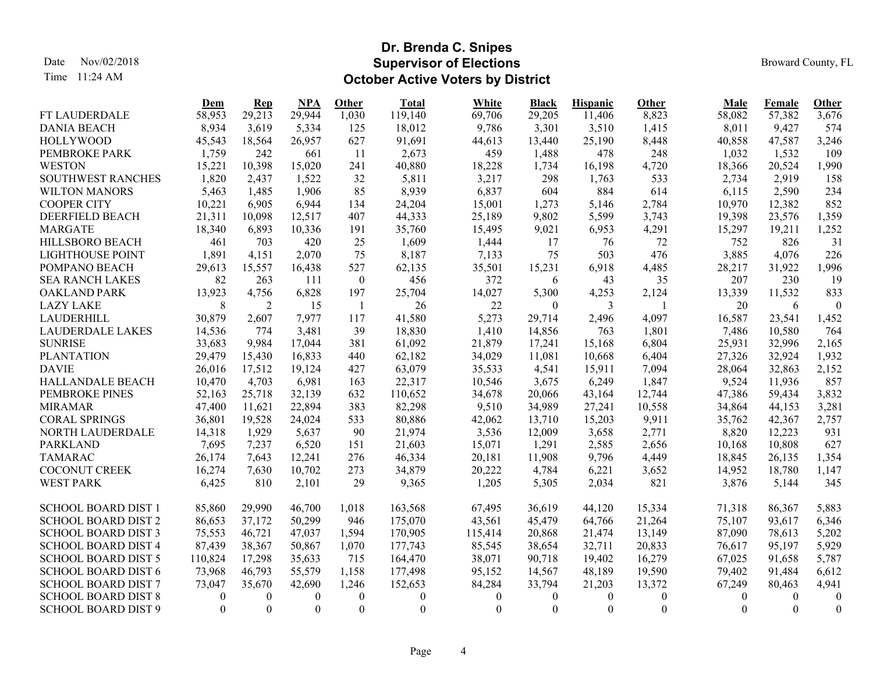Time 11:24 AM

#### **Dr. Brenda C. Snipes Supervisor of ElectionsOctober Active Voters by District**

|                            | Dem      | Rep              | NPA            | Other          | <b>Total</b>     | White    | <b>Black</b> | <b>Hispanic</b> | <b>Other</b> | <b>Male</b> | <b>Female</b> | <b>Other</b>     |
|----------------------------|----------|------------------|----------------|----------------|------------------|----------|--------------|-----------------|--------------|-------------|---------------|------------------|
| FT LAUDERDALE              | 58,953   | 29,213           | 29,944         | 1,030          | 119,140          | 69,706   | 29,205       | 11,406          | 8,823        | 58,082      | 57,382        | 3,676            |
| <b>DANIA BEACH</b>         | 8,934    | 3,619            | 5,334          | 125            | 18,012           | 9,786    | 3,301        | 3,510           | 1,415        | 8,011       | 9,427         | 574              |
| <b>HOLLYWOOD</b>           | 45,543   | 18,564           | 26,957         | 627            | 91,691           | 44,613   | 13,440       | 25,190          | 8,448        | 40,858      | 47,587        | 3,246            |
| PEMBROKE PARK              | 1,759    | 242              | 661            | <sup>11</sup>  | 2,673            | 459      | 1,488        | 478             | 248          | 1,032       | 1,532         | 109              |
| <b>WESTON</b>              | 15,221   | 10,398           | 15,020         | 241            | 40,880           | 18,228   | 1,734        | 16,198          | 4,720        | 18,366      | 20,524        | 1,990            |
| <b>SOUTHWEST RANCHES</b>   | 1,820    | 2,437            | 1,522          | 32             | 5,811            | 3,217    | 298          | 1,763           | 533          | 2,734       | 2,919         | 158              |
| <b>WILTON MANORS</b>       | 5,463    | 1,485            | 1,906          | 85             | 8,939            | 6,837    | 604          | 884             | 614          | 6,115       | 2,590         | 234              |
| <b>COOPER CITY</b>         | 10,221   | 6,905            | 6,944          | 134            | 24,204           | 15,001   | 1,273        | 5,146           | 2,784        | 10,970      | 12,382        | 852              |
| <b>DEERFIELD BEACH</b>     | 21,311   | 10,098           | 12,517         | 407            | 44,333           | 25,189   | 9,802        | 5,599           | 3,743        | 19,398      | 23,576        | 1,359            |
| <b>MARGATE</b>             | 18,340   | 6,893            | 10,336         | 191            | 35,760           | 15,495   | 9,021        | 6,953           | 4,291        | 15,297      | 19,211        | 1,252            |
| HILLSBORO BEACH            | 461      | 703              | 420            | 25             | 1,609            | 1,444    | 17           | 76              | 72           | 752         | 826           | 31               |
| <b>LIGHTHOUSE POINT</b>    | 1,891    | 4,151            | 2,070          | 75             | 8,187            | 7,133    | 75           | 503             | 476          | 3,885       | 4,076         | 226              |
| POMPANO BEACH              | 29,613   | 15,557           | 16,438         | 527            | 62,135           | 35,501   | 15,231       | 6,918           | 4,485        | 28,217      | 31,922        | 1,996            |
| <b>SEA RANCH LAKES</b>     | 82       | 263              | 111            | $\overline{0}$ | 456              | 372      | 6            | 43              | 35           | 207         | 230           | 19               |
| <b>OAKLAND PARK</b>        | 13,923   | 4,756            | 6,828          | 197            | 25,704           | 14,027   | 5,300        | 4,253           | 2,124        | 13,339      | 11,532        | 833              |
| <b>LAZY LAKE</b>           | 8        | 2                | 15             | -1             | 26               | 22       | $\theta$     | 3               |              | 20          | 6             | $\mathbf{0}$     |
| LAUDERHILL                 | 30,879   | 2,607            | 7,977          | 117            | 41,580           | 5,273    | 29,714       | 2,496           | 4,097        | 16,587      | 23,541        | 1,452            |
| <b>LAUDERDALE LAKES</b>    | 14,536   | 774              | 3,481          | 39             | 18,830           | 1,410    | 14,856       | 763             | 1,801        | 7,486       | 10,580        | 764              |
| <b>SUNRISE</b>             | 33,683   | 9,984            | 17,044         | 381            | 61,092           | 21,879   | 17,241       | 15,168          | 6,804        | 25,931      | 32,996        | 2,165            |
| <b>PLANTATION</b>          | 29,479   | 15,430           | 16,833         | 440            | 62,182           | 34,029   | 11,081       | 10,668          | 6,404        | 27,326      | 32,924        | 1,932            |
| <b>DAVIE</b>               | 26,016   | 17,512           | 19,124         | 427            | 63,079           | 35,533   | 4,541        | 15,911          | 7,094        | 28,064      | 32,863        | 2,152            |
| HALLANDALE BEACH           | 10,470   | 4,703            | 6,981          | 163            | 22,317           | 10,546   | 3,675        | 6,249           | 1,847        | 9,524       | 11,936        | 857              |
| PEMBROKE PINES             | 52,163   | 25,718           | 32,139         | 632            | 110,652          | 34,678   | 20,066       | 43,164          | 12,744       | 47,386      | 59,434        | 3,832            |
| <b>MIRAMAR</b>             | 47,400   | 11,621           | 22,894         | 383            | 82,298           | 9,510    | 34,989       | 27,241          | 10,558       | 34,864      | 44,153        | 3,281            |
| <b>CORAL SPRINGS</b>       | 36,801   | 19,528           | 24,024         | 533            | 80,886           | 42,062   | 13,710       | 15,203          | 9,911        | 35,762      | 42,367        | 2,757            |
| NORTH LAUDERDALE           | 14,318   | 1,929            | 5,637          | 90             | 21,974           | 3,536    | 12,009       | 3,658           | 2,771        | 8,820       | 12,223        | 931              |
| <b>PARKLAND</b>            | 7,695    | 7,237            | 6,520          | 151            | 21,603           | 15,071   | 1,291        | 2,585           | 2,656        | 10,168      | 10,808        | 627              |
| <b>TAMARAC</b>             | 26,174   | 7,643            | 12,241         | 276            | 46,334           | 20,181   | 11,908       | 9,796           | 4,449        | 18,845      | 26,135        | 1,354            |
| COCONUT CREEK              | 16,274   | 7,630            | 10,702         | 273            | 34,879           | 20,222   | 4,784        | 6,221           | 3,652        | 14,952      | 18,780        | 1,147            |
| <b>WEST PARK</b>           | 6,425    | 810              | 2,101          | 29             | 9,365            | 1,205    | 5,305        | 2,034           | 821          | 3,876       | 5,144         | 345              |
|                            |          |                  |                |                |                  |          |              |                 |              |             |               |                  |
| <b>SCHOOL BOARD DIST 1</b> | 85,860   | 29,990           | 46,700         | 1,018          | 163,568          | 67,495   | 36,619       | 44,120          | 15,334       | 71,318      | 86,367        | 5,883            |
| <b>SCHOOL BOARD DIST 2</b> | 86,653   | 37,172           | 50,299         | 946            | 175,070          | 43,561   | 45,479       | 64,766          | 21,264       | 75,107      | 93,617        | 6,346            |
| <b>SCHOOL BOARD DIST 3</b> | 75,553   | 46,721           | 47,037         | 1,594          | 170,905          | 115,414  | 20,868       | 21,474          | 13,149       | 87,090      | 78,613        | 5,202            |
| <b>SCHOOL BOARD DIST 4</b> | 87,439   | 38,367           | 50,867         | 1,070          | 177,743          | 85,545   | 38,654       | 32,711          | 20,833       | 76,617      | 95,197        | 5,929            |
| <b>SCHOOL BOARD DIST 5</b> | 110,824  | 17,298           | 35,633         | 715            | 164,470          | 38,071   | 90,718       | 19,402          | 16,279       | 67,025      | 91,658        | 5,787            |
| <b>SCHOOL BOARD DIST 6</b> | 73,968   | 46,793           | 55,579         | 1,158          | 177,498          | 95,152   | 14,567       | 48,189          | 19,590       | 79,402      | 91,484        | 6,612            |
| <b>SCHOOL BOARD DIST 7</b> | 73,047   | 35,670           | 42,690         | 1,246          | 152,653          | 84,284   | 33,794       | 21,203          | 13,372       | 67,249      | 80,463        | 4,941            |
| <b>SCHOOL BOARD DIST 8</b> | 0        | $\boldsymbol{0}$ | $\overline{0}$ | $\mathbf{0}$   | $\boldsymbol{0}$ | 0        | $\theta$     | 0               | $\mathbf{0}$ | $\bf{0}$    | $\theta$      | $\overline{0}$   |
| <b>SCHOOL BOARD DIST 9</b> | $\theta$ | $\theta$         | $\theta$       | $\theta$       | $\boldsymbol{0}$ | $\theta$ | $\theta$     | $\Omega$        | $\theta$     | $\Omega$    | $\theta$      | $\boldsymbol{0}$ |